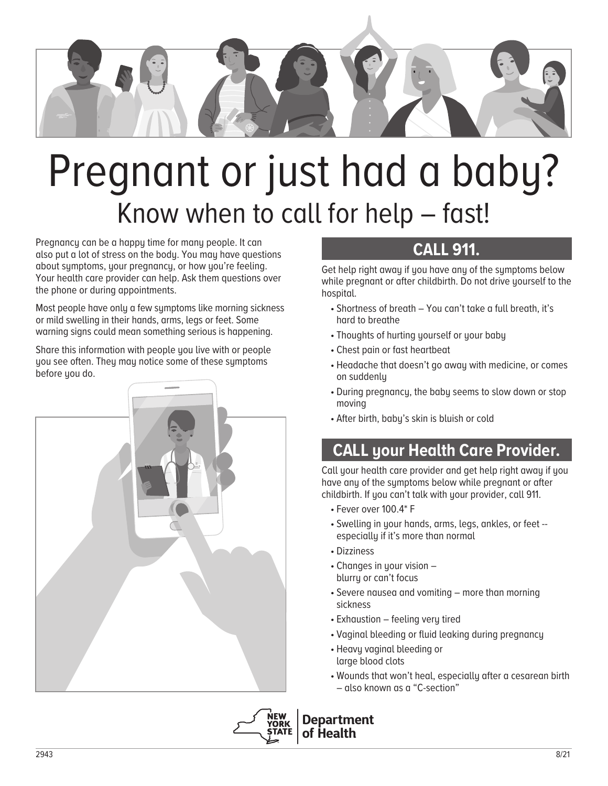

# Pregnant or just had a baby? Know when to call for help – fast!

Pregnancy can be a happy time for many people. It can also put a lot of stress on the body. You may have questions about symptoms, your pregnancy, or how you're feeling. Your health care provider can help. Ask them questions over the phone or during appointments.

Most people have only a few symptoms like morning sickness or mild swelling in their hands, arms, legs or feet. Some warning signs could mean something serious is happening.

Share this information with people you live with or people you see often. They may notice some of these symptoms before you do.



## **CALL 911.**

Get help right away if you have any of the symptoms below while pregnant or after childbirth. Do not drive yourself to the hospital.

- Shortness of breath You can't take a full breath, it's hard to breathe
- Thoughts of hurting yourself or your baby
- Chest pain or fast heartbeat
- Headache that doesn't go away with medicine, or comes on suddenly
- During pregnancy, the baby seems to slow down or stop moving
- After birth, baby's skin is bluish or cold

# **CALL your Health Care Provider.**

Call your health care provider and get help right away if you have any of the symptoms below while pregnant or after childbirth. If you can't talk with your provider, call 911.

- Fever over 100.4\* F
- Swelling in your hands, arms, legs, ankles, or feet especially if it's more than normal
- Dizziness
- Changes in your vision blurry or can't focus
- Severe nausea and vomiting more than morning sickness
- Exhaustion feeling very tired
- Vaginal bleeding or fluid leaking during pregnancy
- Heavy vaginal bleeding or large blood clots
- Wounds that won't heal, especially after a cesarean birth – also known as a "C-section"



**Department of Health**